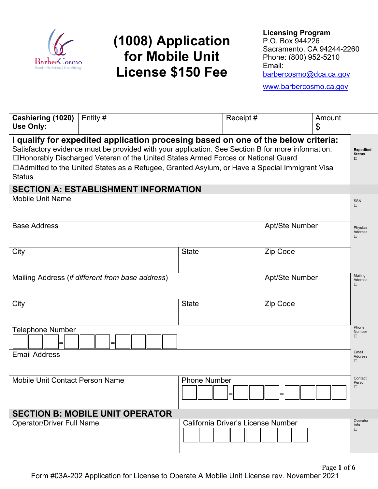

# **(1008) Application for Mobile Unit License \$150 Fee**

**Licensing Program** P.O. Box 944226 Sacramento, CA 94244-2260 Phone: (800) 952-5210 Email: [barbercosmo@dca.ca.gov](mailto:barbercosmo@dca.ca.gov)

[www.barbercosmo.ca.gov](http://www.barbercosmo.ca.gov/)

| Cashiering (1020)<br>Use Only:                                                                                                                                                                                                                                                                                                                                                                 | Entity#                                          |                                    | Receipt# |                       | Amount<br>\$ |                               |  |
|------------------------------------------------------------------------------------------------------------------------------------------------------------------------------------------------------------------------------------------------------------------------------------------------------------------------------------------------------------------------------------------------|--------------------------------------------------|------------------------------------|----------|-----------------------|--------------|-------------------------------|--|
| I qualify for expedited application procesing based on one of the below criteria:<br>Satisfactory evidence must be provided with your application. See Section B for more information.<br>□Honorably Discharged Veteran of the United States Armed Forces or National Guard<br>□ Admitted to the United States as a Refugee, Granted Asylum, or Have a Special Immigrant Visa<br><b>Status</b> |                                                  |                                    |          |                       |              |                               |  |
| <b>SECTION A: ESTABLISHMENT INFORMATION</b>                                                                                                                                                                                                                                                                                                                                                    |                                                  |                                    |          |                       |              |                               |  |
| <b>Mobile Unit Name</b>                                                                                                                                                                                                                                                                                                                                                                        |                                                  |                                    |          |                       |              |                               |  |
| <b>Base Address</b>                                                                                                                                                                                                                                                                                                                                                                            |                                                  |                                    |          | <b>Apt/Ste Number</b> |              | Physical<br>Address<br>$\Box$ |  |
| City                                                                                                                                                                                                                                                                                                                                                                                           |                                                  | <b>State</b>                       |          | Zip Code              |              |                               |  |
|                                                                                                                                                                                                                                                                                                                                                                                                | Mailing Address (if different from base address) |                                    |          | Apt/Ste Number        |              | Mailing<br>Address<br>□       |  |
| City                                                                                                                                                                                                                                                                                                                                                                                           |                                                  | <b>State</b>                       |          | Zip Code              |              |                               |  |
| <b>Telephone Number</b>                                                                                                                                                                                                                                                                                                                                                                        |                                                  |                                    |          |                       |              | Phone<br>Number<br>$\Box$     |  |
| <b>Email Address</b>                                                                                                                                                                                                                                                                                                                                                                           |                                                  |                                    |          |                       |              | Email<br><b>Address</b><br>П. |  |
| <b>Mobile Unit Contact Person Name</b>                                                                                                                                                                                                                                                                                                                                                         |                                                  | <b>Phone Number</b>                |          |                       |              | Contact<br>Person<br>□        |  |
| <b>SECTION B: MOBILE UNIT OPERATOR</b>                                                                                                                                                                                                                                                                                                                                                         |                                                  |                                    |          |                       |              |                               |  |
| <b>Operator/Driver Full Name</b>                                                                                                                                                                                                                                                                                                                                                               |                                                  | California Driver's License Number |          |                       |              | Operator<br>Info<br>$\Box$    |  |
|                                                                                                                                                                                                                                                                                                                                                                                                |                                                  |                                    |          |                       |              |                               |  |

Page **1** of **6** Form #03A-202 Application for License to Operate A Mobile Unit License rev. November 2021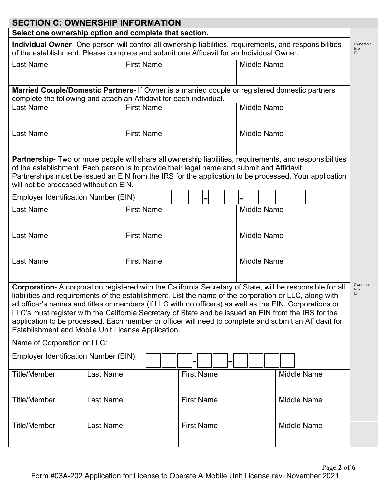## **SECTION C: OWNERSHIP INFORMATION**

### **Select one ownership option and complete that section.**

**Individual Owner**- One person will control all ownership liabilities, requirements, and responsibilities of the establishment. Please complete and submit one Affidavit for an Individual Owner. Ownership Info ☐

| <b>Last Name</b>                                                                                                                                                                                                                                                                                                                                                                                                                                                                                                                                                                                      |                                                                                                | <b>First Name</b> |                   |  |                    |                    | <b>Middle Name</b> |  |                      |  |  |                    |  |
|-------------------------------------------------------------------------------------------------------------------------------------------------------------------------------------------------------------------------------------------------------------------------------------------------------------------------------------------------------------------------------------------------------------------------------------------------------------------------------------------------------------------------------------------------------------------------------------------------------|------------------------------------------------------------------------------------------------|-------------------|-------------------|--|--------------------|--------------------|--------------------|--|----------------------|--|--|--------------------|--|
|                                                                                                                                                                                                                                                                                                                                                                                                                                                                                                                                                                                                       | Married Couple/Domestic Partners- If Owner is a married couple or registered domestic partners |                   |                   |  |                    |                    |                    |  |                      |  |  |                    |  |
| complete the following and attach an Affidavit for each individual.                                                                                                                                                                                                                                                                                                                                                                                                                                                                                                                                   |                                                                                                |                   |                   |  |                    |                    |                    |  |                      |  |  |                    |  |
| <b>Last Name</b>                                                                                                                                                                                                                                                                                                                                                                                                                                                                                                                                                                                      |                                                                                                | <b>First Name</b> |                   |  |                    | <b>Middle Name</b> |                    |  |                      |  |  |                    |  |
| <b>Last Name</b>                                                                                                                                                                                                                                                                                                                                                                                                                                                                                                                                                                                      | <b>First Name</b>                                                                              |                   |                   |  |                    | <b>Middle Name</b> |                    |  |                      |  |  |                    |  |
| Partnership- Two or more people will share all ownership liabilities, requirements, and responsibilities<br>of the establishment. Each person is to provide their legal name and submit and Affidavit.<br>Partnerships must be issued an EIN from the IRS for the application to be processed. Your application<br>will not be processed without an EIN.                                                                                                                                                                                                                                              |                                                                                                |                   |                   |  |                    |                    |                    |  |                      |  |  |                    |  |
| <b>Employer Identification Number (EIN)</b>                                                                                                                                                                                                                                                                                                                                                                                                                                                                                                                                                           |                                                                                                |                   |                   |  |                    |                    |                    |  |                      |  |  |                    |  |
| <b>Last Name</b>                                                                                                                                                                                                                                                                                                                                                                                                                                                                                                                                                                                      | <b>First Name</b>                                                                              |                   |                   |  |                    | <b>Middle Name</b> |                    |  |                      |  |  |                    |  |
| <b>Last Name</b>                                                                                                                                                                                                                                                                                                                                                                                                                                                                                                                                                                                      | <b>First Name</b>                                                                              |                   |                   |  | <b>Middle Name</b> |                    |                    |  |                      |  |  |                    |  |
| <b>Last Name</b>                                                                                                                                                                                                                                                                                                                                                                                                                                                                                                                                                                                      | <b>First Name</b>                                                                              |                   |                   |  | <b>Middle Name</b> |                    |                    |  |                      |  |  |                    |  |
| Corporation- A corporation registered with the California Secretary of State, will be responsible for all<br>liabilities and requirements of the establishment. List the name of the corporation or LLC, along with<br>all officer's names and titles or members (if LLC with no officers) as well as the EIN. Corporations or<br>LLC's must register with the California Secretary of State and be issued an EIN from the IRS for the<br>application to be processed. Each member or officer will need to complete and submit an Affidavit for<br>Establishment and Mobile Unit License Application. |                                                                                                |                   |                   |  |                    |                    |                    |  | Ow<br>Info<br>$\Box$ |  |  |                    |  |
| Name of Corporation or LLC:                                                                                                                                                                                                                                                                                                                                                                                                                                                                                                                                                                           |                                                                                                |                   |                   |  |                    |                    |                    |  |                      |  |  |                    |  |
| <b>Employer Identification Number (EIN)</b>                                                                                                                                                                                                                                                                                                                                                                                                                                                                                                                                                           |                                                                                                |                   |                   |  |                    |                    |                    |  |                      |  |  |                    |  |
| <b>Title/Member</b>                                                                                                                                                                                                                                                                                                                                                                                                                                                                                                                                                                                   | <b>Last Name</b>                                                                               |                   |                   |  | <b>First Name</b>  |                    |                    |  | <b>Middle Name</b>   |  |  |                    |  |
| <b>Title/Member</b>                                                                                                                                                                                                                                                                                                                                                                                                                                                                                                                                                                                   | Last Name                                                                                      |                   |                   |  | <b>First Name</b>  |                    |                    |  |                      |  |  | <b>Middle Name</b> |  |
| <b>Title/Member</b>                                                                                                                                                                                                                                                                                                                                                                                                                                                                                                                                                                                   | <b>Last Name</b>                                                                               |                   | <b>First Name</b> |  |                    |                    | <b>Middle Name</b> |  |                      |  |  |                    |  |

Ownership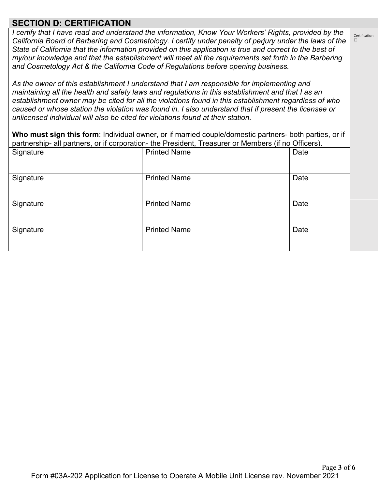## **SECTION D: CERTIFICATION**

*I certify that I have read and understand the information, Know Your Workers' Rights, provided by the California Board of Barbering and Cosmetology. I certify under penalty of perjury under the laws of the State of California that the information provided on this application is true and correct to the best of my/our knowledge and that the establishment will meet all the requirements set forth in the Barbering and Cosmetology Act & the California Code of Regulations before opening business.*

*As the owner of this establishment I understand that I am responsible for implementing and maintaining all the health and safety laws and regulations in this establishment and that I as an establishment owner may be cited for all the violations found in this establishment regardless of who caused or whose station the violation was found in. I also understand that if present the licensee or unlicensed individual will also be cited for violations found at their station.*

**Who must sign this form**: Individual owner, or if married couple/domestic partners- both parties, or if partnership- all partners, or if corporation- the President, Treasurer or Members (if no Officers).

| Signature | <b>Printed Name</b> | Date |
|-----------|---------------------|------|
| Signature | <b>Printed Name</b> | Date |
| Signature | <b>Printed Name</b> | Date |
| Signature | <b>Printed Name</b> | Date |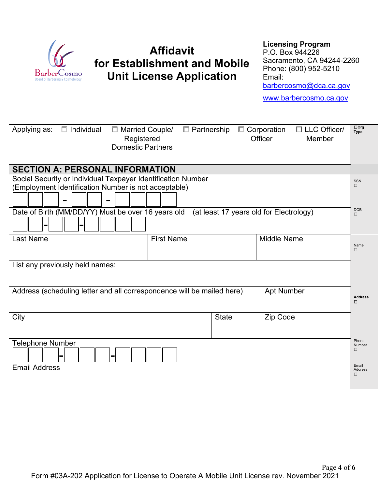

## **Affidavit for Establishment and Mobile Unit License Application**

#### **Licensing Program**

P.O. Box 944226 Sacramento, CA 94244-2260 Phone: (800) 952-5210 Email: [barbercosmo@dca.ca.gov](mailto:barbercosmo@dca.ca.gov) [www.barbercosmo.ca.gov](http://www.barbercosmo.ca.gov/)

| Applying as:<br>$\Box$ Individual                                      | □ Married Couple/<br>Registered<br><b>Domestic Partners</b> | $\Box$ Partnership | $\Box$ Corporation<br>Officer           | $\Box$ LLC Officer/<br>Member | $\Box$ Org<br><b>Type</b> |  |
|------------------------------------------------------------------------|-------------------------------------------------------------|--------------------|-----------------------------------------|-------------------------------|---------------------------|--|
| <b>SECTION A: PERSONAL INFORMATION</b>                                 |                                                             |                    |                                         |                               |                           |  |
| Social Security or Individual Taxpayer Identification Number           |                                                             |                    |                                         |                               | <b>SSN</b>                |  |
| (Employment Identification Number is not acceptable)                   |                                                             |                    |                                         |                               | П.                        |  |
| $\blacksquare$                                                         |                                                             |                    |                                         |                               |                           |  |
| Date of Birth (MM/DD/YY) Must be over 16 years old                     |                                                             |                    | (at least 17 years old for Electrology) |                               | <b>DOB</b><br>П.          |  |
| ٠                                                                      |                                                             |                    |                                         |                               |                           |  |
| <b>Last Name</b>                                                       | <b>First Name</b>                                           |                    | <b>Middle Name</b>                      |                               |                           |  |
|                                                                        |                                                             |                    |                                         |                               | Name<br>□                 |  |
| List any previously held names:                                        |                                                             |                    |                                         |                               |                           |  |
|                                                                        |                                                             |                    |                                         |                               |                           |  |
| Address (scheduling letter and all correspondence will be mailed here) |                                                             |                    | <b>Apt Number</b>                       |                               | <b>Address</b><br>□       |  |
| City                                                                   |                                                             | <b>State</b>       | Zip Code                                |                               |                           |  |
|                                                                        |                                                             |                    |                                         |                               |                           |  |
| <b>Telephone Number</b>                                                |                                                             |                    |                                         |                               |                           |  |
| -                                                                      |                                                             |                    |                                         |                               |                           |  |
| <b>Email Address</b>                                                   |                                                             |                    |                                         |                               | Email<br>Address          |  |
|                                                                        |                                                             |                    |                                         |                               | □                         |  |
|                                                                        |                                                             |                    |                                         |                               |                           |  |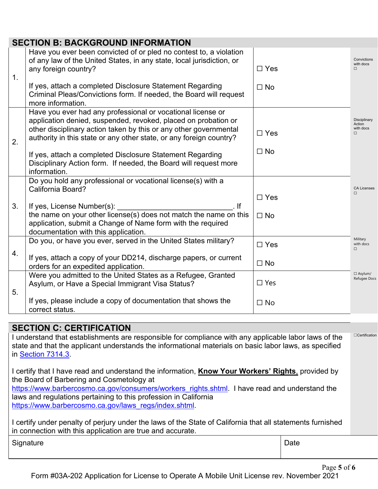|    | <b>SECTION B: BACKGROUND INFORMATION</b>                                                                                                                                                                                                                                  |               |                                               |
|----|---------------------------------------------------------------------------------------------------------------------------------------------------------------------------------------------------------------------------------------------------------------------------|---------------|-----------------------------------------------|
| 1. | Have you ever been convicted of or pled no contest to, a violation<br>of any law of the United States, in any state, local jurisdiction, or<br>any foreign country?                                                                                                       | $\Box$ Yes    | Convictions<br>with docs<br>$\Box$            |
|    | If yes, attach a completed Disclosure Statement Regarding<br>Criminal Pleas/Convictions form. If needed, the Board will request<br>more information.                                                                                                                      | $\Box$ No     |                                               |
| 2. | Have you ever had any professional or vocational license or<br>application denied, suspended, revoked, placed on probation or<br>other disciplinary action taken by this or any other governmental<br>authority in this state or any other state, or any foreign country? | $\Box$ Yes    | Disciplinary<br>Action<br>with docs<br>$\Box$ |
|    | If yes, attach a completed Disclosure Statement Regarding<br>Disciplinary Action form. If needed, the Board will request more<br>information.                                                                                                                             | $\Box$ No     |                                               |
|    | Do you hold any professional or vocational license(s) with a<br>California Board?                                                                                                                                                                                         | $\Box$ Yes    | <b>CA Licenses</b><br>$\Box$                  |
| 3. | If yes, License Number(s):<br>lf<br>the name on your other license(s) does not match the name on this<br>application, submit a Change of Name form with the required<br>documentation with this application.                                                              | $\Box$ No     |                                               |
|    | Do you, or have you ever, served in the United States military?                                                                                                                                                                                                           | $\square$ Yes | Military<br>with docs<br>$\Box$               |
| 4. | If yes, attach a copy of your DD214, discharge papers, or current<br>orders for an expedited application.                                                                                                                                                                 | $\Box$ No     |                                               |
| 5. | Were you admitted to the United States as a Refugee, Granted<br>Asylum, or Have a Special Immigrant Visa Status?                                                                                                                                                          | $\Box$ Yes    | $\Box$ Asylum/<br>Refugee Docs                |
|    | If yes, please include a copy of documentation that shows the<br>correct status.                                                                                                                                                                                          | $\Box$ No     |                                               |

## **SECTION C: CERTIFICATION**

I understand that establishments are responsible for compliance with any applicable labor laws of the state and that the applicant understands the informational materials on basic labor laws, as specified in Section 7314.3 ☐Certification

I certify that I have read and understand the information, **Know Your Workers' Rights**, provided by the Board of Barbering and Cosmetology at

[https://www.barbercosmo.ca.gov/consumers/workers\\_rights.shtml.](https://www.barbercosmo.ca.gov/consumers/workers_rights.shtml) I have read and understand the laws and regulations pertaining to this profession in California [https://www.barbercosmo.ca.gov/laws\\_regs/index.shtml.](https://www.barbercosmo.ca.gov/laws_regs/index.shtml)

I certify under penalty of perjury under the laws of the State of California that all statements furnished in connection with this application are true and accurate.

Signature **Date Date Date Date Date Date Date Date Date Date Date**